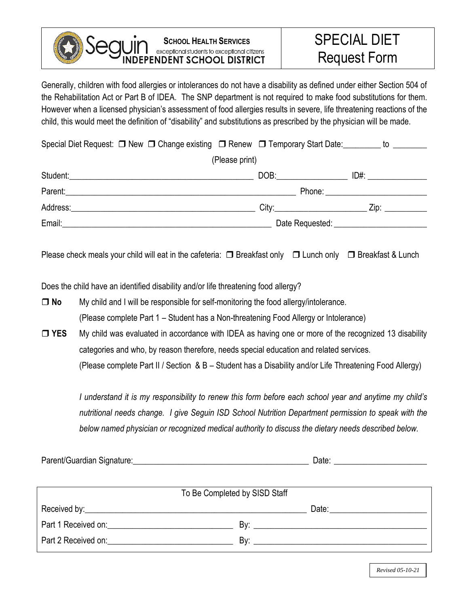## Sea **SCHOOL HEALTH SERVICES**<br>
exceptional students to exceptional citizens<br> **NDENT SCHOOL DISTRICT**

Generally, children with food allergies or intolerances do not have a disability as defined under either Section 504 of the Rehabilitation Act or Part B of IDEA. The SNP department is not required to make food substitutions for them. However when a licensed physician's assessment of food allergies results in severe, life threatening reactions of the child, this would meet the definition of "disability" and substitutions as prescribed by the physician will be made.

| Special Diet Request: □ New □ Change existing □ Renew □ Temporary Start Date: _______ to _______               |                                  |                                                                                                                                                                                                                                |  |  |  |
|----------------------------------------------------------------------------------------------------------------|----------------------------------|--------------------------------------------------------------------------------------------------------------------------------------------------------------------------------------------------------------------------------|--|--|--|
| (Please print)                                                                                                 |                                  |                                                                                                                                                                                                                                |  |  |  |
|                                                                                                                | DOB:                             | ID#: _______________                                                                                                                                                                                                           |  |  |  |
|                                                                                                                | Phone: _________________________ |                                                                                                                                                                                                                                |  |  |  |
| Address:                                                                                                       |                                  | Zip: __________                                                                                                                                                                                                                |  |  |  |
| Email: Email: Email: All and the state of the state of the state of the state of the state of the state of the |                                  | Date Requested: National Property of the Reduction of the Contractor of the Contractor of the Contractor of the Contractor of the Contractor of the Contractor of the Contractor of the Contractor of the Contractor of the Co |  |  |  |

Please check meals your child will eat in the cafeteria:  $\Box$  Breakfast only  $\Box$  Lunch only  $\Box$  Breakfast & Lunch

Does the child have an identified disability and/or life threatening food allergy?

 **No** My child and I will be responsible for self-monitoring the food allergy/intolerance. (Please complete Part 1 – Student has a Non-threatening Food Allergy or Intolerance)

□ YES My child was evaluated in accordance with IDEA as having one or more of the recognized 13 disability categories and who, by reason therefore, needs special education and related services. (Please complete Part II / Section & B – Student has a Disability and/or Life Threatening Food Allergy)

*I understand it is my responsibility to renew this form before each school year and anytime my child's nutritional needs change. I give Seguin ISD School Nutrition Department permission to speak with the below named physician or recognized medical authority to discuss the dietary needs described below.*

| To Be Completed by SISD Staff                                                                                   |       |  |  |
|-----------------------------------------------------------------------------------------------------------------|-------|--|--|
|                                                                                                                 | Date: |  |  |
| Part 1 Received on: Network and Security and Security and Security and Security and Security and Security and S | R۷۰   |  |  |
| Part 2 Received on:<br>the contract of the contract of the contract of                                          | Bv:   |  |  |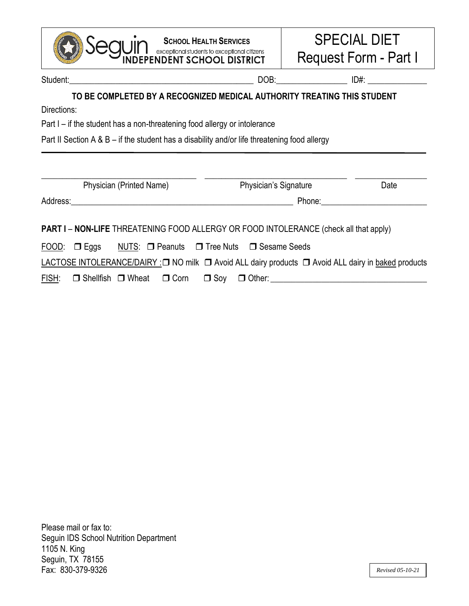| <b>SCHOOL HEALTH SERVICES</b>                                                                       |                                                                                              |                                                           | <b>SPECIAL DIET</b><br>Request Form - Part I |  |  |  |
|-----------------------------------------------------------------------------------------------------|----------------------------------------------------------------------------------------------|-----------------------------------------------------------|----------------------------------------------|--|--|--|
|                                                                                                     |                                                                                              |                                                           |                                              |  |  |  |
| TO BE COMPLETED BY A RECOGNIZED MEDICAL AUTHORITY TREATING THIS STUDENT<br>Directions:              |                                                                                              |                                                           |                                              |  |  |  |
| Part I - if the student has a non-threatening food allergy or intolerance                           |                                                                                              |                                                           |                                              |  |  |  |
|                                                                                                     | Part II Section A & B – if the student has a disability and/or life threatening food allergy |                                                           |                                              |  |  |  |
| Physician (Printed Name)                                                                            | Physician's Signature                                                                        |                                                           | Date                                         |  |  |  |
|                                                                                                     |                                                                                              | Phone: <u>with the state of the state of the state of</u> |                                              |  |  |  |
| PART I - NON-LIFE THREATENING FOOD ALLERGY OR FOOD INTOLERANCE (check all that apply)               |                                                                                              |                                                           |                                              |  |  |  |
| FOOD: □ Eggs NUTS: □ Peanuts □ Tree Nuts □ Sesame Seeds                                             |                                                                                              |                                                           |                                              |  |  |  |
| LACTOSE INTOLERANCE/DAIRY :□ NO milk □ Avoid ALL dairy products □ Avoid ALL dairy in baked products |                                                                                              |                                                           |                                              |  |  |  |
| FISH:                                                                                               |                                                                                              |                                                           |                                              |  |  |  |